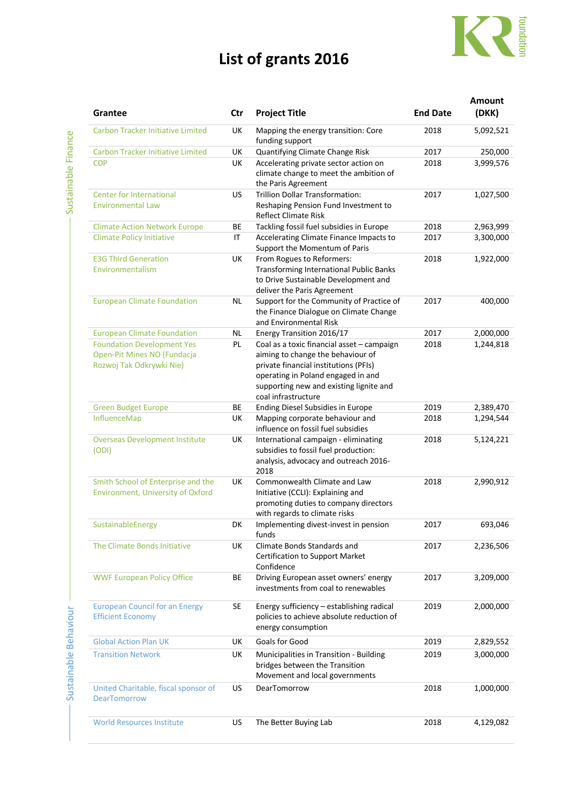## **List of grants 2016**



|                                                                         |           |                                                                          |                 | Amount    |
|-------------------------------------------------------------------------|-----------|--------------------------------------------------------------------------|-----------------|-----------|
| Grantee                                                                 | Ctr       | <b>Project Title</b>                                                     | <b>End Date</b> | (DKK)     |
| <b>Carbon Tracker Initiative Limited</b>                                | UK        | Mapping the energy transition: Core<br>funding support                   | 2018            | 5,092,521 |
| <b>Carbon Tracker Initiative Limited</b>                                | UK        | Quantifying Climate Change Risk                                          | 2017            | 250,000   |
| <b>CDP</b>                                                              | UK        | Accelerating private sector action on                                    | 2018            | 3,999,576 |
|                                                                         |           | climate change to meet the ambition of<br>the Paris Agreement            |                 |           |
| <b>Center for International</b>                                         | US        | <b>Trillion Dollar Transformation:</b>                                   | 2017            | 1,027,500 |
| <b>Environmental Law</b>                                                |           | Reshaping Pension Fund Investment to<br><b>Reflect Climate Risk</b>      |                 |           |
| <b>Climate Action Network Europe</b>                                    | ВE        | Tackling fossil fuel subsidies in Europe                                 | 2018            | 2,963,999 |
| <b>Climate Policy Initiative</b>                                        | IT        | Accelerating Climate Finance Impacts to<br>Support the Momentum of Paris | 2017            | 3,300,000 |
| <b>E3G Third Generation</b>                                             | UK        | From Rogues to Reformers:                                                | 2018            | 1,922,000 |
| Environmentalism                                                        |           | <b>Transforming International Public Banks</b>                           |                 |           |
|                                                                         |           | to Drive Sustainable Development and                                     |                 |           |
|                                                                         |           | deliver the Paris Agreement                                              |                 |           |
| <b>European Climate Foundation</b>                                      | ΝL        | Support for the Community of Practice of                                 | 2017            | 400,000   |
|                                                                         |           | the Finance Dialogue on Climate Change<br>and Environmental Risk         |                 |           |
| <b>European Climate Foundation</b>                                      | ΝL        | Energy Transition 2016/17                                                | 2017            | 2,000,000 |
| <b>Foundation Development Yes</b>                                       | PL        | Coal as a toxic financial asset - campaign                               | 2018            | 1,244,818 |
| Open-Pit Mines NO (Fundacja                                             |           | aiming to change the behaviour of                                        |                 |           |
| Rozwoj Tak Odkrywki Nie)                                                |           | private financial institutions (PFIs)                                    |                 |           |
|                                                                         |           | operating in Poland engaged in and                                       |                 |           |
|                                                                         |           | supporting new and existing lignite and                                  |                 |           |
|                                                                         |           | coal infrastructure                                                      |                 |           |
| <b>Green Budget Europe</b>                                              | ВE        | Ending Diesel Subsidies in Europe                                        | 2019            | 2,389,470 |
| InfluenceMap                                                            | UK        | Mapping corporate behaviour and<br>influence on fossil fuel subsidies    | 2018            | 1,294,544 |
| <b>Overseas Development Institute</b>                                   | UK        | International campaign - eliminating                                     | 2018            | 5,124,221 |
| (ODI)                                                                   |           | subsidies to fossil fuel production:                                     |                 |           |
|                                                                         |           | analysis, advocacy and outreach 2016-                                    |                 |           |
|                                                                         |           | 2018<br>Commonwealth Climate and Law                                     |                 |           |
| Smith School of Enterprise and the<br>Environment, University of Oxford | UK        | Initiative (CCLI): Explaining and                                        | 2018            | 2,990,912 |
|                                                                         |           | promoting duties to company directors                                    |                 |           |
|                                                                         |           | with regards to climate risks                                            |                 |           |
| SustainableEnergy                                                       | DK        | Implementing divest-invest in pension                                    | 2017            | 693,046   |
|                                                                         |           | funds                                                                    |                 |           |
| The Climate Bonds Initiative                                            | UK        | Climate Bonds Standards and                                              | 2017            | 2,236,506 |
|                                                                         |           | <b>Certification to Support Market</b>                                   |                 |           |
|                                                                         |           | Confidence                                                               |                 |           |
| <b>WWF European Policy Office</b>                                       | ВE        | Driving European asset owners' energy                                    | 2017            | 3,209,000 |
|                                                                         |           | investments from coal to renewables                                      |                 |           |
| <b>European Council for an Energy</b>                                   | SE        | Energy sufficiency - establishing radical                                | 2019            | 2,000,000 |
| <b>Efficient Economy</b>                                                |           | policies to achieve absolute reduction of                                |                 |           |
|                                                                         |           | energy consumption                                                       |                 |           |
|                                                                         |           |                                                                          |                 |           |
| <b>Global Action Plan UK</b>                                            | UK        | Goals for Good                                                           | 2019            | 2,829,552 |
| <b>Transition Network</b>                                               | UK        | Municipalities in Transition - Building                                  | 2019            | 3,000,000 |
|                                                                         |           | bridges between the Transition                                           |                 |           |
|                                                                         |           | Movement and local governments                                           |                 |           |
| United Charitable, fiscal sponsor of                                    | <b>US</b> | DearTomorrow                                                             | 2018            | 1,000,000 |
| <b>DearTomorrow</b>                                                     |           |                                                                          |                 |           |
|                                                                         |           |                                                                          |                 |           |
| <b>World Resources Institute</b>                                        | <b>US</b> | The Better Buying Lab                                                    | 2018            | 4,129,082 |
|                                                                         |           |                                                                          |                 |           |